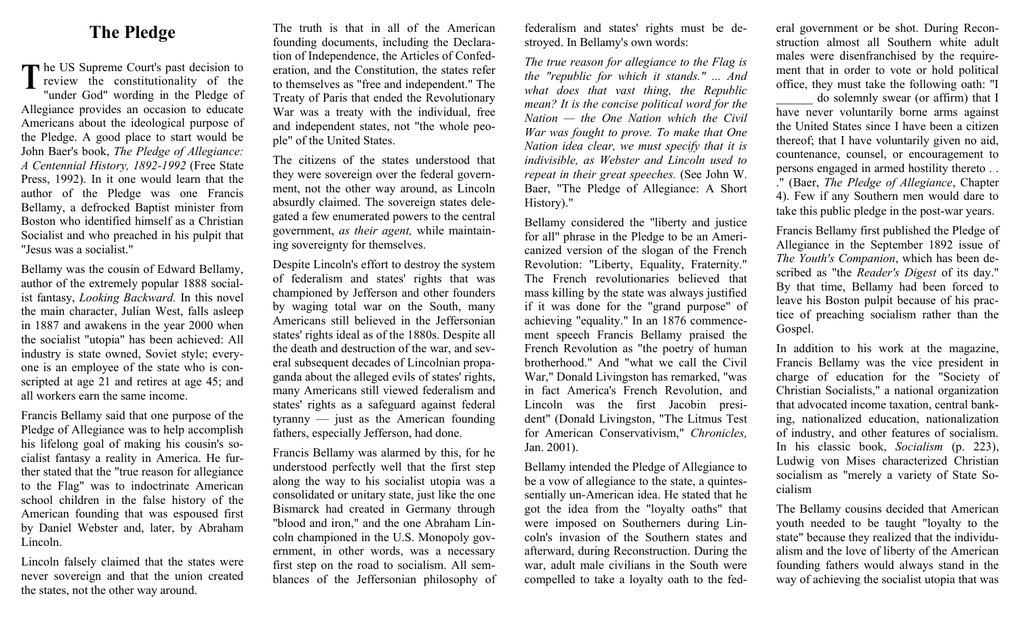## **The Pledge**

**T** he US Supreme Court's past decision to review the constitutionality of the "under God" wording in the Pladse of review the constitutionality of the "under God" wording in the Pledge of Allegiance provides an occasion to educate Americans about the ideological purpose of the Pledge. A good place to start would be John Baer's book, *The Pledge of Allegiance: A Centennial History, 1892-1992* (Free State Press, 1992). In it one would learn that the author of the Pledge was one Francis Bellamy, a defrocked Baptist minister from Boston who identified himself as a Christian Socialist and who preached in his pulpit that "Jesus was a socialist."

Bellamy was the cousin of Edward Bellamy, author of the extremely popular 1888 socialist fantasy, *Looking Backward.* In this novel the main character, Julian West, falls asleep in 1887 and awakens in the year 2000 when the socialist "utopia" has been achieved: All industry is state owned, Soviet style; everyone is an employee of the state who is conscripted at age 21 and retires at age 45; and all workers earn the same income.

Francis Bellamy said that one purpose of the Pledge of Allegiance was to help accomplish his lifelong goal of making his cousin's socialist fantasy a reality in America. He further stated that the "true reason for allegiance to the Flag" was to indoctrinate American school children in the false history of the American founding that was espoused first by Daniel Webster and, later, by Abraham Lincoln.

Lincoln falsely claimed that the states were never sovereign and that the union created the states, not the other way around.

The truth is that in all of the American founding documents, including the Declaration of Independence, the Articles of Confederation, and the Constitution, the states refer to themselves as "free and independent." The Treaty of Paris that ended the Revolutionary War was a treaty with the individual, free and independent states, not "the whole people" of the United States.

The citizens of the states understood that they were sovereign over the federal government, not the other way around, as Lincoln absurdly claimed. The sovereign states delegated a few enumerated powers to the central government, *as their agent,* while maintaining sovereignty for themselves.

Despite Lincoln's effort to destroy the system of federalism and states' rights that was championed by Jefferson and other founders by waging total war on the South, many Americans still believed in the Jeffersonian states' rights ideal as of the 1880s. Despite all the death and destruction of the war, and several subsequent decades of Lincolnian propaganda about the alleged evils of states' rights, many Americans still viewed federalism and states' rights as a safeguard against federal tyranny — just as the American founding fathers, especially Jefferson, had done.

Francis Bellamy was alarmed by this, for he understood perfectly well that the first step along the way to his socialist utopia was a consolidated or unitary state, just like the one Bismarck had created in Germany through "blood and iron," and the one Abraham Lincoln championed in the U.S. Monopoly government, in other words, was a necessary first step on the road to socialism. All semblances of the Jeffersonian philosophy of

federalism and states' rights must be destroyed. In Bellamy's own words:

*The true reason for allegiance to the Flag is the "republic for which it stands." ... And what does that vast thing, the Republic mean? It is the concise political word for the Nation — the One Nation which the Civil War was fought to prove. To make that One Nation idea clear, we must specify that it is indivisible, as Webster and Lincoln used to repeat in their great speeches.* (See John W. Baer, "The Pledge of Allegiance: A Short History)."

Bellamy considered the "liberty and justice for all" phrase in the Pledge to be an Americanized version of the slogan of the French Revolution: "Liberty, Equality, Fraternity." The French revolutionaries believed that mass killing by the state was always justified if it was done for the "grand purpose" of achieving "equality." In an 1876 commencement speech Francis Bellamy praised the French Revolution as "the poetry of human brotherhood." And "what we call the Civil War," Donald Livingston has remarked, "was in fact America's French Revolution, and Lincoln was the first Jacobin president" (Donald Livingston, "The Litmus Test for American Conservativism," *Chronicles,*  Jan. 2001).

Bellamy intended the Pledge of Allegiance to be a vow of allegiance to the state, a quintessentially un-American idea. He stated that he got the idea from the "loyalty oaths" that were imposed on Southerners during Lincoln's invasion of the Southern states and afterward, during Reconstruction. During the war, adult male civilians in the South were compelled to take a loyalty oath to the federal government or be shot. During Reconstruction almost all Southern white adult males were disenfranchised by the requirement that in order to vote or hold political office, they must take the following oath: "I

do solemnly swear (or affirm) that I have never voluntarily borne arms against the United States since I have been a citizen thereof; that I have voluntarily given no aid, countenance, counsel, or encouragement to persons engaged in armed hostility thereto . . ." (Baer, *The Pledge of Allegiance*, Chapter 4). Few if any Southern men would dare to take this public pledge in the post-war years.

Francis Bellamy first published the Pledge of Allegiance in the September 1892 issue of *The Youth's Companion*, which has been described as "the *Reader's Digest* of its day." By that time, Bellamy had been forced to leave his Boston pulpit because of his practice of preaching socialism rather than the Gospel.

In addition to his work at the magazine, Francis Bellamy was the vice president in charge of education for the "Society of Christian Socialists," a national organization that advocated income taxation, central banking, nationalized education, nationalization of industry, and other features of socialism. In his classic book, *Socialism* (p. 223), Ludwig von Mises characterized Christian socialism as "merely a variety of State Socialism

The Bellamy cousins decided that American youth needed to be taught "loyalty to the state" because they realized that the individualism and the love of liberty of the American founding fathers would always stand in the way of achieving the socialist utopia that was